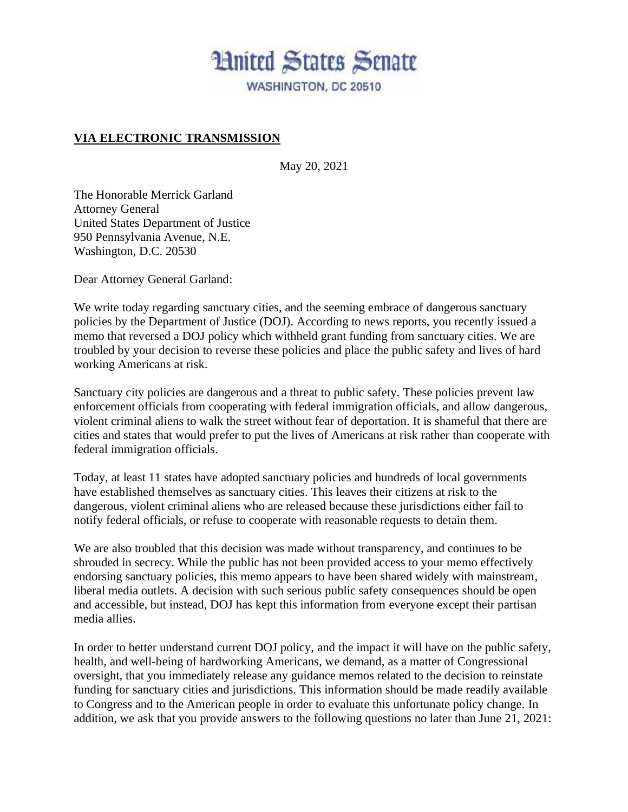## **Hnited States Senate** WASHINGTON, DC 20510

## **VIA ELECTRONIC TRANSMISSION**

May 20, 2021

The Honorable Merrick Garland Attorney General United States Department of Justice 950 Pennsylvania Avenue, N.E. Washington, D.C. 20530

Dear Attorney General Garland:

We write today regarding sanctuary cities, and the seeming embrace of dangerous sanctuary policies by the Department of Justice (DOJ). According to news reports, you recently issued a memo that reversed a DOJ policy which withheld grant funding from sanctuary cities. We are troubled by your decision to reverse these policies and place the public safety and lives of hard working Americans at risk.

Sanctuary city policies are dangerous and a threat to public safety. These policies prevent law enforcement officials from cooperating with federal immigration officials, and allow dangerous, violent criminal aliens to walk the street without fear of deportation. It is shameful that there are cities and states that would prefer to put the lives of Americans at risk rather than cooperate with federal immigration officials.

Today, at least 11 states have adopted sanctuary policies and hundreds of local governments have established themselves as sanctuary cities. This leaves their citizens at risk to the dangerous, violent criminal aliens who are released because these jurisdictions either fail to notify federal officials, or refuse to cooperate with reasonable requests to detain them.

We are also troubled that this decision was made without transparency, and continues to be shrouded in secrecy. While the public has not been provided access to your memo effectively endorsing sanctuary policies, this memo appears to have been shared widely with mainstream, liberal media outlets. A decision with such serious public safety consequences should be open and accessible, but instead, DOJ has kept this information from everyone except their partisan media allies.

In order to better understand current DOJ policy, and the impact it will have on the public safety, health, and well-being of hardworking Americans, we demand, as a matter of Congressional oversight, that you immediately release any guidance memos related to the decision to reinstate funding for sanctuary cities and jurisdictions. This information should be made readily available to Congress and to the American people in order to evaluate this unfortunate policy change. In addition, we ask that you provide answers to the following questions no later than June 21, 2021: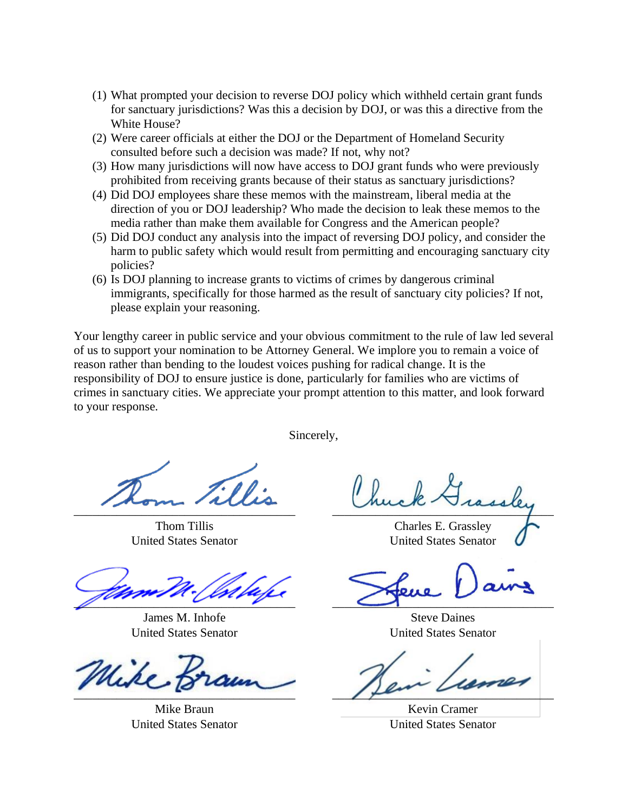- (1) What prompted your decision to reverse DOJ policy which withheld certain grant funds for sanctuary jurisdictions? Was this a decision by DOJ, or was this a directive from the White House?
- (2) Were career officials at either the DOJ or the Department of Homeland Security consulted before such a decision was made? If not, why not?
- (3) How many jurisdictions will now have access to DOJ grant funds who were previously prohibited from receiving grants because of their status as sanctuary jurisdictions?
- (4) Did DOJ employees share these memos with the mainstream, liberal media at the direction of you or DOJ leadership? Who made the decision to leak these memos to the media rather than make them available for Congress and the American people?
- (5) Did DOJ conduct any analysis into the impact of reversing DOJ policy, and consider the harm to public safety which would result from permitting and encouraging sanctuary city policies?
- (6) Is DOJ planning to increase grants to victims of crimes by dangerous criminal immigrants, specifically for those harmed as the result of sanctuary city policies? If not, please explain your reasoning.

Your lengthy career in public service and your obvious commitment to the rule of law led several of us to support your nomination to be Attorney General. We implore you to remain a voice of reason rather than bending to the loudest voices pushing for radical change. It is the responsibility of DOJ to ensure justice is done, particularly for families who are victims of crimes in sanctuary cities. We appreciate your prompt attention to this matter, and look forward to your response.

Sincerely,

 $\overline{\phantom{a}}$ 

Thom Tillis United States Senator

 $\mathbb{Z}$ 

James M. Inhofe United States Senator

 $\overline{\phantom{a}}$ 

Mike Braun United States Senator

 $rac{1}{2}$ 

Charles E. Grassley United States Senator

 $\overline{\phantom{a}}$ 

Steve Daines United States Senator

 $\frac{1}{2}$ 

Kevin Cramer United States Senator